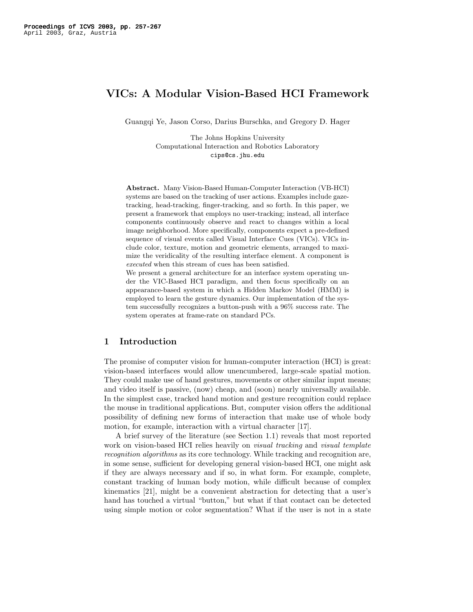# VICs: A Modular Vision-Based HCI Framework

Guangqi Ye, Jason Corso, Darius Burschka, and Gregory D. Hager

The Johns Hopkins University Computational Interaction and Robotics Laboratory cips@cs.jhu.edu

Abstract. Many Vision-Based Human-Computer Interaction (VB-HCI) systems are based on the tracking of user actions. Examples include gazetracking, head-tracking, finger-tracking, and so forth. In this paper, we present a framework that employs no user-tracking; instead, all interface components continuously observe and react to changes within a local image neighborhood. More specifically, components expect a pre-defined sequence of visual events called Visual Interface Cues (VICs). VICs include color, texture, motion and geometric elements, arranged to maximize the veridicality of the resulting interface element. A component is executed when this stream of cues has been satisfied.

We present a general architecture for an interface system operating under the VIC-Based HCI paradigm, and then focus specifically on an appearance-based system in which a Hidden Markov Model (HMM) is employed to learn the gesture dynamics. Our implementation of the system successfully recognizes a button-push with a 96% success rate. The system operates at frame-rate on standard PCs.

# 1 Introduction

The promise of computer vision for human-computer interaction (HCI) is great: vision-based interfaces would allow unencumbered, large-scale spatial motion. They could make use of hand gestures, movements or other similar input means; and video itself is passive, (now) cheap, and (soon) nearly universally available. In the simplest case, tracked hand motion and gesture recognition could replace the mouse in traditional applications. But, computer vision offers the additional possibility of defining new forms of interaction that make use of whole body motion, for example, interaction with a virtual character [17].

A brief survey of the literature (see Section 1.1) reveals that most reported work on vision-based HCI relies heavily on *visual tracking* and *visual template* recognition algorithms as its core technology. While tracking and recognition are, in some sense, sufficient for developing general vision-based HCI, one might ask if they are always necessary and if so, in what form. For example, complete, constant tracking of human body motion, while difficult because of complex kinematics [21], might be a convenient abstraction for detecting that a user's hand has touched a virtual "button," but what if that contact can be detected using simple motion or color segmentation? What if the user is not in a state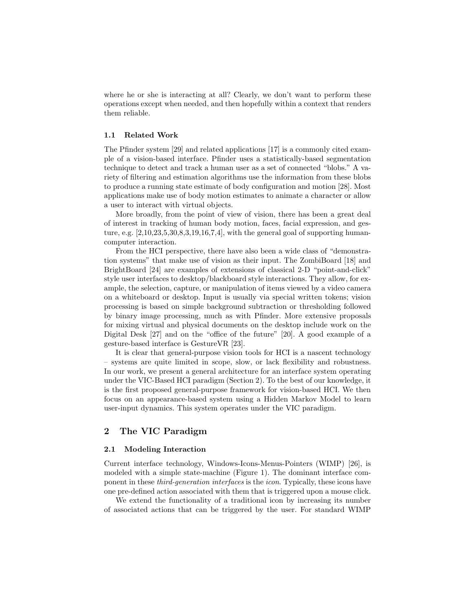where he or she is interacting at all? Clearly, we don't want to perform these operations except when needed, and then hopefully within a context that renders them reliable.

#### 1.1 Related Work

The Pfinder system [29] and related applications [17] is a commonly cited example of a vision-based interface. Pfinder uses a statistically-based segmentation technique to detect and track a human user as a set of connected "blobs." A variety of filtering and estimation algorithms use the information from these blobs to produce a running state estimate of body configuration and motion [28]. Most applications make use of body motion estimates to animate a character or allow a user to interact with virtual objects.

More broadly, from the point of view of vision, there has been a great deal of interest in tracking of human body motion, faces, facial expression, and gesture, e.g.  $[2,10,23,5,30,8,3,19,16,7,4]$ , with the general goal of supporting humancomputer interaction.

From the HCI perspective, there have also been a wide class of "demonstration systems" that make use of vision as their input. The ZombiBoard [18] and BrightBoard [24] are examples of extensions of classical 2-D "point-and-click" style user interfaces to desktop/blackboard style interactions. They allow, for example, the selection, capture, or manipulation of items viewed by a video camera on a whiteboard or desktop. Input is usually via special written tokens; vision processing is based on simple background subtraction or thresholding followed by binary image processing, much as with Pfinder. More extensive proposals for mixing virtual and physical documents on the desktop include work on the Digital Desk [27] and on the "office of the future" [20]. A good example of a gesture-based interface is GestureVR [23].

It is clear that general-purpose vision tools for HCI is a nascent technology – systems are quite limited in scope, slow, or lack flexibility and robustness. In our work, we present a general architecture for an interface system operating under the VIC-Based HCI paradigm (Section 2). To the best of our knowledge, it is the first proposed general-purpose framework for vision-based HCI. We then focus on an appearance-based system using a Hidden Markov Model to learn user-input dynamics. This system operates under the VIC paradigm.

## 2 The VIC Paradigm

#### 2.1 Modeling Interaction

Current interface technology, Windows-Icons-Menus-Pointers (WIMP) [26], is modeled with a simple state-machine (Figure 1). The dominant interface component in these third-generation interfaces is the icon. Typically, these icons have one pre-defined action associated with them that is triggered upon a mouse click.

We extend the functionality of a traditional icon by increasing its number of associated actions that can be triggered by the user. For standard WIMP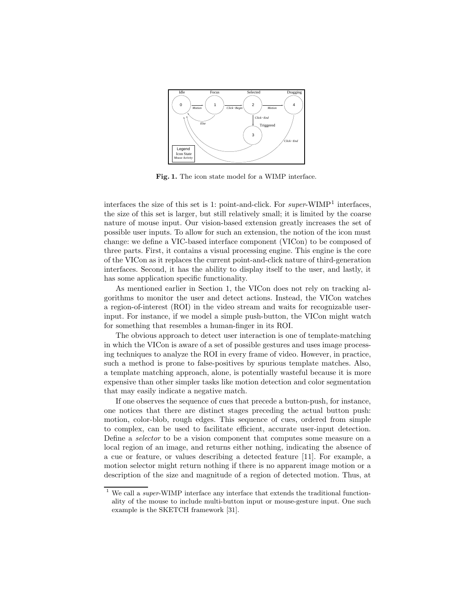

Fig. 1. The icon state model for a WIMP interface.

interfaces the size of this set is 1: point-and-click. For *super*-WIMP<sup>1</sup> interfaces, the size of this set is larger, but still relatively small; it is limited by the coarse nature of mouse input. Our vision-based extension greatly increases the set of possible user inputs. To allow for such an extension, the notion of the icon must change: we define a VIC-based interface component (VICon) to be composed of three parts. First, it contains a visual processing engine. This engine is the core of the VICon as it replaces the current point-and-click nature of third-generation interfaces. Second, it has the ability to display itself to the user, and lastly, it has some application specific functionality.

As mentioned earlier in Section 1, the VICon does not rely on tracking algorithms to monitor the user and detect actions. Instead, the VICon watches a region-of-interest (ROI) in the video stream and waits for recognizable userinput. For instance, if we model a simple push-button, the VICon might watch for something that resembles a human-finger in its ROI.

The obvious approach to detect user interaction is one of template-matching in which the VICon is aware of a set of possible gestures and uses image processing techniques to analyze the ROI in every frame of video. However, in practice, such a method is prone to false-positives by spurious template matches. Also, a template matching approach, alone, is potentially wasteful because it is more expensive than other simpler tasks like motion detection and color segmentation that may easily indicate a negative match.

If one observes the sequence of cues that precede a button-push, for instance, one notices that there are distinct stages preceding the actual button push: motion, color-blob, rough edges. This sequence of cues, ordered from simple to complex, can be used to facilitate efficient, accurate user-input detection. Define a selector to be a vision component that computes some measure on a local region of an image, and returns either nothing, indicating the absence of a cue or feature, or values describing a detected feature [11]. For example, a motion selector might return nothing if there is no apparent image motion or a description of the size and magnitude of a region of detected motion. Thus, at

 $1$  We call a *super*-WIMP interface any interface that extends the traditional functionality of the mouse to include multi-button input or mouse-gesture input. One such example is the SKETCH framework [31].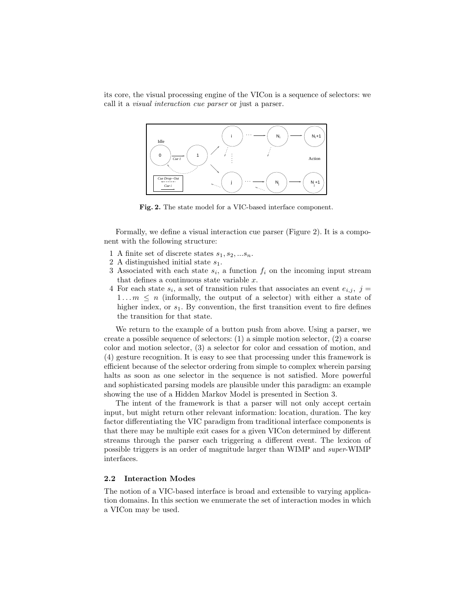its core, the visual processing engine of the VICon is a sequence of selectors: we call it a visual interaction cue parser or just a parser.



Fig. 2. The state model for a VIC-based interface component.

Formally, we define a visual interaction cue parser (Figure 2). It is a component with the following structure:

- 1 A finite set of discrete states  $s_1, s_2, ... s_n$ .
- 2 A distinguished initial state  $s_1$ .
- 3 Associated with each state  $s_i$ , a function  $f_i$  on the incoming input stream that defines a continuous state variable  $x$ .
- 4 For each state  $s_i$ , a set of transition rules that associates an event  $e_{i,j}$ ,  $j =$  $1...m \leq n$  (informally, the output of a selector) with either a state of higher index, or  $s_1$ . By convention, the first transition event to fire defines the transition for that state.

We return to the example of a button push from above. Using a parser, we create a possible sequence of selectors:  $(1)$  a simple motion selector,  $(2)$  a coarse color and motion selector, (3) a selector for color and cessation of motion, and (4) gesture recognition. It is easy to see that processing under this framework is efficient because of the selector ordering from simple to complex wherein parsing halts as soon as one selector in the sequence is not satisfied. More powerful and sophisticated parsing models are plausible under this paradigm: an example showing the use of a Hidden Markov Model is presented in Section 3.

The intent of the framework is that a parser will not only accept certain input, but might return other relevant information: location, duration. The key factor differentiating the VIC paradigm from traditional interface components is that there may be multiple exit cases for a given VICon determined by different streams through the parser each triggering a different event. The lexicon of possible triggers is an order of magnitude larger than WIMP and super-WIMP interfaces.

### 2.2 Interaction Modes

The notion of a VIC-based interface is broad and extensible to varying application domains. In this section we enumerate the set of interaction modes in which a VICon may be used.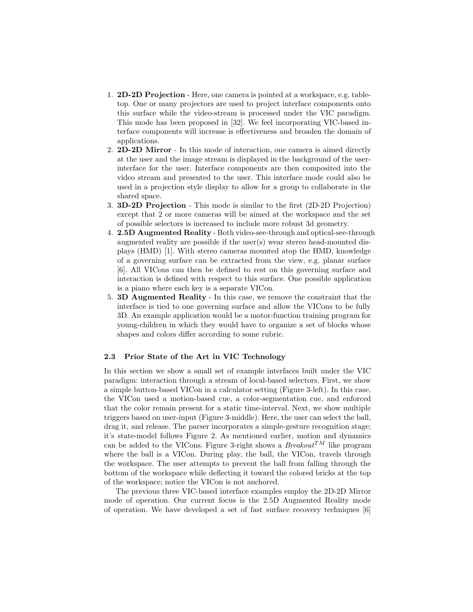- 1. 2D-2D Projection Here, one camera is pointed at a workspace, e.g. tabletop. One or many projectors are used to project interface components onto this surface while the video-stream is processed under the VIC paradigm. This mode has been proposed in [32]. We feel incorporating VIC-based interface components will increase is effectiveness and broaden the domain of applications.
- 2. 2D-2D Mirror In this mode of interaction, one camera is aimed directly at the user and the image stream is displayed in the background of the userinterface for the user. Interface components are then composited into the video stream and presented to the user. This interface mode could also be used in a projection style display to allow for a group to collaborate in the shared space.
- 3. 3D-2D Projection This mode is similar to the first (2D-2D Projection) except that 2 or more cameras will be aimed at the workspace and the set of possible selectors is increased to include more robust 3d geometry.
- 4. 2.5D Augmented Reality Both video-see-through and optical-see-through augmented reality are possible if the user(s) wear stereo head-mounted displays (HMD) [1]. With stereo cameras mounted atop the HMD, knowledge of a governing surface can be extracted from the view, e.g. planar surface [6]. All VICons can then be defined to rest on this governing surface and interaction is defined with respect to this surface. One possible application is a piano where each key is a separate VICon.
- 5. 3D Augmented Reality In this case, we remove the constraint that the interface is tied to one governing surface and allow the VICons to be fully 3D. An example application would be a motor-function training program for young-children in which they would have to organize a set of blocks whose shapes and colors differ according to some rubric.

### 2.3 Prior State of the Art in VIC Technology

In this section we show a small set of example interfaces built under the VIC paradigm: interaction through a stream of local-based selectors. First, we show a simple button-based VICon in a calculator setting (Figure 3-left). In this case, the VICon used a motion-based cue, a color-segmentation cue, and enforced that the color remain present for a static time-interval. Next, we show multiple triggers based on user-input (Figure 3-middle). Here, the user can select the ball, drag it, and release. The parser incorporates a simple-gesture recognition stage; it's state-model follows Figure 2. As mentioned earlier, motion and dynamics can be added to the VICons. Figure 3-right shows a  $Breakout^{TM}$  like program where the ball is a VICon. During play, the ball, the VICon, travels through the workspace. The user attempts to prevent the ball from falling through the bottom of the workspace while deflecting it toward the colored bricks at the top of the workspace; notice the VICon is not anchored.

The previous three VIC-based interface examples employ the 2D-2D Mirror mode of operation. Our current focus is the 2.5D Augmented Reality mode of operation. We have developed a set of fast surface recovery techniques [6]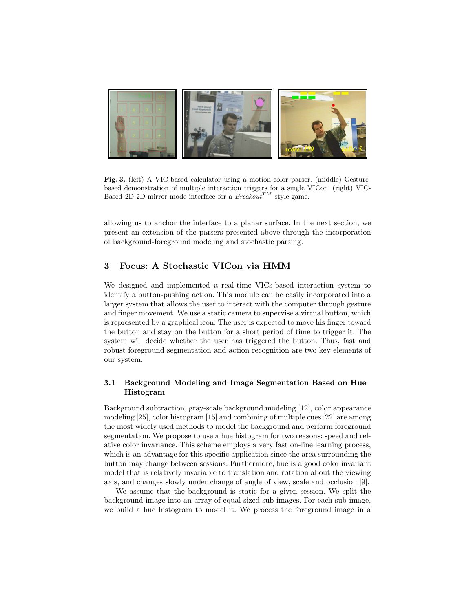

Fig. 3. (left) A VIC-based calculator using a motion-color parser. (middle) Gesturebased demonstration of multiple interaction triggers for a single VICon. (right) VIC-Based 2D-2D mirror mode interface for a  $Breakout^{TM}$  style game.

allowing us to anchor the interface to a planar surface. In the next section, we present an extension of the parsers presented above through the incorporation of background-foreground modeling and stochastic parsing.

# 3 Focus: A Stochastic VICon via HMM

We designed and implemented a real-time VICs-based interaction system to identify a button-pushing action. This module can be easily incorporated into a larger system that allows the user to interact with the computer through gesture and finger movement. We use a static camera to supervise a virtual button, which is represented by a graphical icon. The user is expected to move his finger toward the button and stay on the button for a short period of time to trigger it. The system will decide whether the user has triggered the button. Thus, fast and robust foreground segmentation and action recognition are two key elements of our system.

### 3.1 Background Modeling and Image Segmentation Based on Hue Histogram

Background subtraction, gray-scale background modeling [12], color appearance modeling [25], color histogram [15] and combining of multiple cues [22] are among the most widely used methods to model the background and perform foreground segmentation. We propose to use a hue histogram for two reasons: speed and relative color invariance. This scheme employs a very fast on-line learning process, which is an advantage for this specific application since the area surrounding the button may change between sessions. Furthermore, hue is a good color invariant model that is relatively invariable to translation and rotation about the viewing axis, and changes slowly under change of angle of view, scale and occlusion [9].

We assume that the background is static for a given session. We split the background image into an array of equal-sized sub-images. For each sub-image, we build a hue histogram to model it. We process the foreground image in a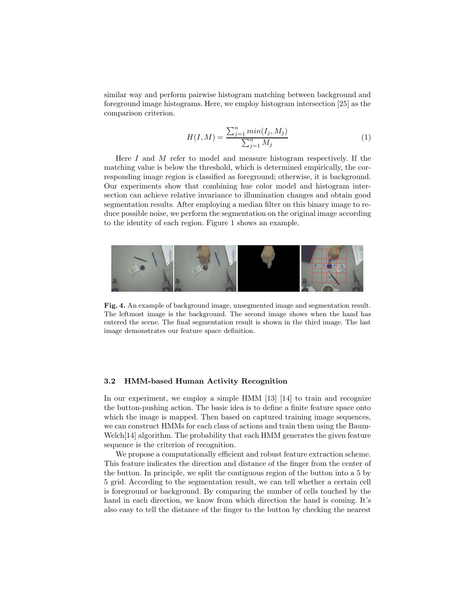similar way and perform pairwise histogram matching between background and foreground image histograms. Here, we employ histogram intersection [25] as the comparison criterion.

$$
H(I, M) = \frac{\sum_{j=1}^{n} \min(I_j, M_j)}{\sum_{j=1}^{n} M_j}
$$
\n(1)

Here I and M refer to model and measure histogram respectively. If the matching value is below the threshold, which is determined empirically, the corresponding image region is classified as foreground; otherwise, it is background. Our experiments show that combining hue color model and histogram intersection can achieve relative invariance to illumination changes and obtain good segmentation results. After employing a median filter on this binary image to reduce possible noise, we perform the segmentation on the original image according to the identity of each region. Figure 1 shows an example.



Fig. 4. An example of background image, unsegmented image and segmentation result. The leftmost image is the background. The second image shows when the hand has entered the scene. The final segmentation result is shown in the third image. The last image demonstrates our feature space definition.

#### 3.2 HMM-based Human Activity Recognition

In our experiment, we employ a simple HMM [13] [14] to train and recognize the button-pushing action. The basic idea is to define a finite feature space onto which the image is mapped. Then based on captured training image sequences, we can construct HMMs for each class of actions and train them using the Baum-Welch[14] algorithm. The probability that each HMM generates the given feature sequence is the criterion of recognition.

We propose a computationally efficient and robust feature extraction scheme. This feature indicates the direction and distance of the finger from the center of the button. In principle, we split the contiguous region of the button into a 5 by 5 grid. According to the segmentation result, we can tell whether a certain cell is foreground or background. By comparing the number of cells touched by the hand in each direction, we know from which direction the hand is coming. It's also easy to tell the distance of the finger to the button by checking the nearest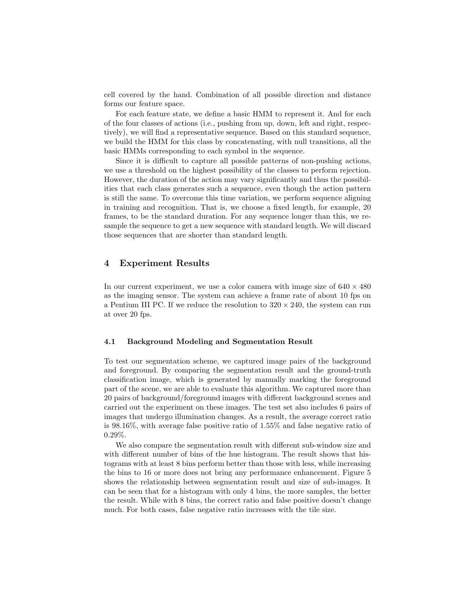cell covered by the hand. Combination of all possible direction and distance forms our feature space.

For each feature state, we define a basic HMM to represent it. And for each of the four classes of actions (i.e., pushing from up, down, left and right, respectively), we will find a representative sequence. Based on this standard sequence, we build the HMM for this class by concatenating, with null transitions, all the basic HMMs corresponding to each symbol in the sequence.

Since it is difficult to capture all possible patterns of non-pushing actions, we use a threshold on the highest possibility of the classes to perform rejection. However, the duration of the action may vary significantly and thus the possibilities that each class generates such a sequence, even though the action pattern is still the same. To overcome this time variation, we perform sequence aligning in training and recognition. That is, we choose a fixed length, for example, 20 frames, to be the standard duration. For any sequence longer than this, we resample the sequence to get a new sequence with standard length. We will discard those sequences that are shorter than standard length.

# 4 Experiment Results

In our current experiment, we use a color camera with image size of  $640 \times 480$ as the imaging sensor. The system can achieve a frame rate of about 10 fps on a Pentium III PC. If we reduce the resolution to  $320 \times 240$ , the system can run at over 20 fps.

#### 4.1 Background Modeling and Segmentation Result

To test our segmentation scheme, we captured image pairs of the background and foreground. By comparing the segmentation result and the ground-truth classification image, which is generated by manually marking the foreground part of the scene, we are able to evaluate this algorithm. We captured more than 20 pairs of background/foreground images with different background scenes and carried out the experiment on these images. The test set also includes 6 pairs of images that undergo illumination changes. As a result, the average correct ratio is 98.16%, with average false positive ratio of 1.55% and false negative ratio of 0.29%.

We also compare the segmentation result with different sub-window size and with different number of bins of the hue histogram. The result shows that histograms with at least 8 bins perform better than those with less, while increasing the bins to 16 or more does not bring any performance enhancement. Figure 5 shows the relationship between segmentation result and size of sub-images. It can be seen that for a histogram with only 4 bins, the more samples, the better the result. While with 8 bins, the correct ratio and false positive doesn't change much. For both cases, false negative ratio increases with the tile size.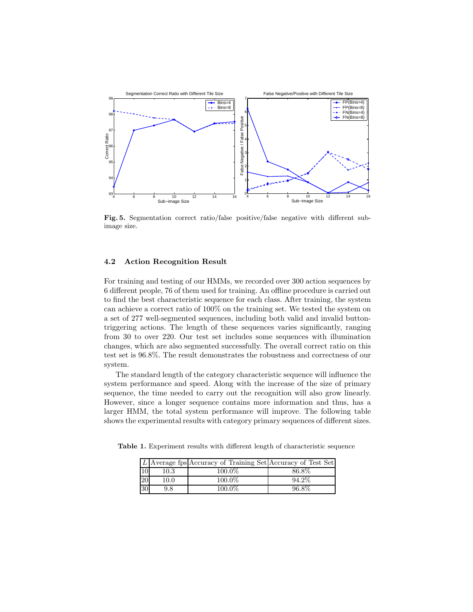

Fig. 5. Segmentation correct ratio/false positive/false negative with different subimage size.

### 4.2 Action Recognition Result

For training and testing of our HMMs, we recorded over 300 action sequences by 6 different people, 76 of them used for training. An offline procedure is carried out to find the best characteristic sequence for each class. After training, the system can achieve a correct ratio of 100% on the training set. We tested the system on a set of 277 well-segmented sequences, including both valid and invalid buttontriggering actions. The length of these sequences varies significantly, ranging from 30 to over 220. Our test set includes some sequences with illumination changes, which are also segmented successfully. The overall correct ratio on this test set is 96.8%. The result demonstrates the robustness and correctness of our system.

The standard length of the category characteristic sequence will influence the system performance and speed. Along with the increase of the size of primary sequence, the time needed to carry out the recognition will also grow linearly. However, since a longer sequence contains more information and thus, has a larger HMM, the total system performance will improve. The following table shows the experimental results with category primary sequences of different sizes.

Table 1. Experiment results with different length of characteristic sequence

|                 |          | L Average fps Accuracy of Training Set Accuracy of Test Set |       |
|-----------------|----------|-------------------------------------------------------------|-------|
|                 | $10.3\,$ | 100.0%                                                      | 86.8% |
| $\overline{20}$ | $10.0\,$ | $100.0\%$                                                   | 94.2% |
| 30              | 9.8      | 100.0%                                                      | 96.8% |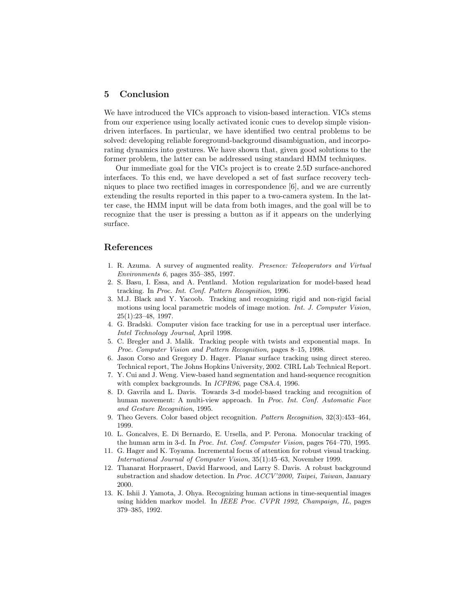### 5 Conclusion

We have introduced the VICs approach to vision-based interaction. VICs stems from our experience using locally activated iconic cues to develop simple visiondriven interfaces. In particular, we have identified two central problems to be solved: developing reliable foreground-background disambiguation, and incorporating dynamics into gestures. We have shown that, given good solutions to the former problem, the latter can be addressed using standard HMM techniques.

Our immediate goal for the VICs project is to create 2.5D surface-anchored interfaces. To this end, we have developed a set of fast surface recovery techniques to place two rectified images in correspondence [6], and we are currently extending the results reported in this paper to a two-camera system. In the latter case, the HMM input will be data from both images, and the goal will be to recognize that the user is pressing a button as if it appears on the underlying surface.

### References

- 1. R. Azuma. A survey of augmented reality. Presence: Teleoperators and Virtual Environments 6, pages 355–385, 1997.
- 2. S. Basu, I. Essa, and A. Pentland. Motion regularization for model-based head tracking. In Proc. Int. Conf. Pattern Recognition, 1996.
- 3. M.J. Black and Y. Yacoob. Tracking and recognizing rigid and non-rigid facial motions using local parametric models of image motion. Int. J. Computer Vision, 25(1):23–48, 1997.
- 4. G. Bradski. Computer vision face tracking for use in a perceptual user interface. Intel Technology Journal, April 1998.
- 5. C. Bregler and J. Malik. Tracking people with twists and exponential maps. In Proc. Computer Vision and Pattern Recognition, pages 8–15, 1998.
- 6. Jason Corso and Gregory D. Hager. Planar surface tracking using direct stereo. Technical report, The Johns Hopkins University, 2002. CIRL Lab Technical Report.
- 7. Y. Cui and J. Weng. View-based hand segmentation and hand-sequence recognition with complex backgrounds. In ICPR96, page C8A.4, 1996.
- 8. D. Gavrila and L. Davis. Towards 3-d model-based tracking and recognition of human movement: A multi-view approach. In Proc. Int. Conf. Automatic Face and Gesture Recognition, 1995.
- 9. Theo Gevers. Color based object recognition. Pattern Recognition, 32(3):453–464, 1999.
- 10. L. Goncalves, E. Di Bernardo, E. Ursella, and P. Perona. Monocular tracking of the human arm in 3-d. In Proc. Int. Conf. Computer Vision, pages 764–770, 1995.
- 11. G. Hager and K. Toyama. Incremental focus of attention for robust visual tracking. International Journal of Computer Vision, 35(1):45–63, November 1999.
- 12. Thanarat Horprasert, David Harwood, and Larry S. Davis. A robust background substraction and shadow detection. In Proc. ACCV'2000, Taipei, Taiwan, January 2000.
- 13. K. Ishii J. Yamota, J. Ohya. Recognizing human actions in time-sequential images using hidden markov model. In IEEE Proc. CVPR 1992, Champaign, IL, pages 379–385, 1992.